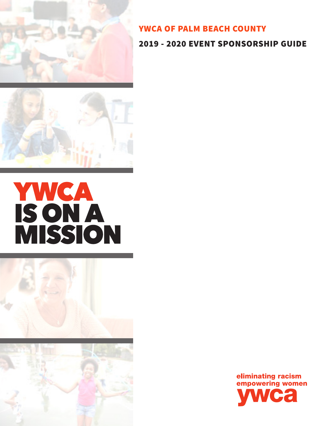

# YWCA OF PALM BEACH COUNTY

## 2019 - 2020 EVENT SPONSORSHIP GUIDE



# **YWCA**<br>ISON A<br>MISSION



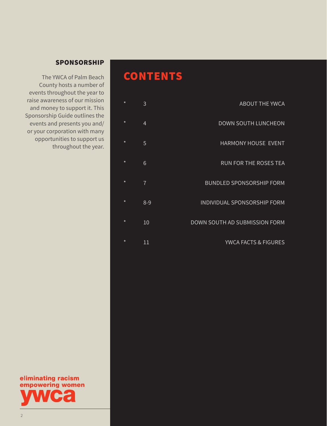# **CONTENTS**

| <b>ABOUT THE YWCA</b>           | $\star$ |
|---------------------------------|---------|
| <b>DOWN SOUTH LUNCHEON</b>      | $\star$ |
| <b>HARMONY HOUSE EVENT</b>      | $\star$ |
| <b>RUN FOR THE ROSES TEA</b>    | $\star$ |
| <b>BUNDLED SPONSORSHIP FORM</b> | $\star$ |
| INDIVIDUAL SPONSORSHIP FORM     | $\star$ |
| DOWN SOUTH AD SUBMISSION FORM   | $\star$ |
| YWCA FACTS & FIGURES            | $\star$ |

## SPONSORSHIP

The YWCA of Palm Beach County hosts a number of events throughout the year to raise awareness of our mission and money to support it. This Sponsorship Guide outlines the events and presents you and/ or your corporation with many opportunities to support us throughout the year.

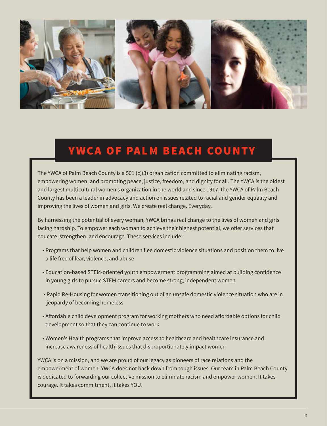

# YWCA OF PALM BEACH COUNTY

The YWCA of Palm Beach County is a 501 (c)(3) organization committed to eliminating racism, empowering women, and promoting peace, justice, freedom, and dignity for all. The YWCA is the oldest and largest multicultural women's organization in the world and since 1917, the YWCA of Palm Beach County has been a leader in advocacy and action on issues related to racial and gender equality and improving the lives of women and girls. We create real change. Everyday.

By harnessing the potential of every woman, YWCA brings real change to the lives of women and girls facing hardship. To empower each woman to achieve their highest potential, we offer services that educate, strengthen, and encourage. These services include:

- Programs that help women and children flee domestic violence situations and position them to live a life free of fear, violence, and abuse
- Education-based STEM-oriented youth empowerment programming aimed at building confidence in young girls to pursue STEM careers and become strong, independent women
- Rapid Re-Housing for women transitioning out of an unsafe domestic violence situation who are in jeopardy of becoming homeless
- Affordable child development program for working mothers who need affordable options for child development so that they can continue to work
- Women's Health programs that improve access to healthcare and healthcare insurance and increase awareness of health issues that disproportionately impact women

YWCA is on a mission, and we are proud of our legacy as pioneers of race relations and the empowerment of women. YWCA does not back down from tough issues. Our team in Palm Beach County is dedicated to forwarding our collective mission to eliminate racism and empower women. It takes courage. It takes commitment. It takes YOU!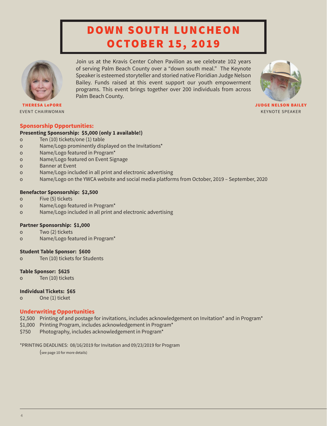# DOWN SOUTH LUNCHEON OCTOBER 15, 2019

Join us at the Kravis Center Cohen Pavilion as we celebrate 102 years of serving Palm Beach County over a "down south meal." The Keynote Speaker is esteemed storyteller and storied native Floridian Judge Nelson Bailey. Funds raised at this event support our youth empowerment programs. This event brings together over 200 individuals from across



THERESA LePORE EVENT CHAIRWOMAN

JUDGE NELSON BAILEY KEYNOTE SPEAKER

#### **Sponsorship Opportunities:**

#### **Presenting Sponsorship: \$5,000 (only 1 available!)**

- o Ten (10) tickets/one (1) table
- o Name/Logo prominently displayed on the Invitations\*
- o Name/Logo featured in Program\*
- o Name/Logo featured on Event Signage
- o Banner at Event
- o Name/Logo included in all print and electronic advertising

Palm Beach County.

o Name/Logo on the YWCA website and social media platforms from October, 2019 – September, 2020

#### **Benefactor Sponsorship: \$2,500**

- o Five (5) tickets
- o Name/Logo featured in Program\*
- o Name/Logo included in all print and electronic advertising

#### **Partner Sponsorship: \$1,000**

- o Two (2) tickets
- o Name/Logo featured in Program\*

#### **Student Table Sponsor: \$600**

o Ten (10) tickets for Students

#### **Table Sponsor: \$625**

o Ten (10) tickets

#### **Individual Tickets: \$65**

o One (1) ticket

#### **Underwriting Opportunities**

- \$2,500 Printing of and postage for invitations, includes acknowledgement on Invitation\* and in Program\*
- \$1,000 Printing Program, includes acknowledgement in Program\*
- \$750 Photography, includes acknowledgement in Program\*

#### \*PRINTING DEADLINES: 08/16/2019 for Invitation and 09/23/2019 for Program

(see page 10 for more details)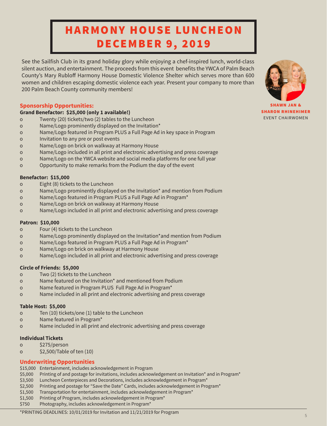# HARMONY HOUSE LUNCHEON DECEMBER 9, 2019

See the Sailfish Club in its grand holiday glory while enjoying a chef-inspired lunch, world-class silent auction, and entertainment. The proceeds from this event benefits the YWCA of Palm Beach County's Mary Rubloff Harmony House Domestic Violence Shelter which serves more than 600 women and children escaping domestic violence each year. Present your company to more than 200 Palm Beach County community members!

#### **Sponsorship Opportunities:**

#### **Grand Benefactor: \$25,000 (only 1 available!)**

- o Twenty (20) tickets/two (2) tables to the Luncheon
- o Name/Logo prominently displayed on the Invitation\*
- o Name/Logo featured in Program PLUS a Full Page Ad in key space in Program
- o Invitation to any pre or post events
- o Name/Logo on brick on walkway at Harmony House
- o Name/Logo included in all print and electronic advertising and press coverage
- o Name/Logo on the YWCA website and social media platforms for one full year
- o Opportunity to make remarks from the Podium the day of the event

#### **Benefactor: \$15,000**

- o Eight (8) tickets to the Luncheon
- o Name/Logo prominently displayed on the Invitation\* and mention from Podium
- o Name/Logo featured in Program PLUS a Full Page Ad in Program\*
- o Name/Logo on brick on walkway at Harmony House
- o Name/Logo included in all print and electronic advertising and press coverage

#### **Patron: \$10,000**

- o Four (4) tickets to the Luncheon
- o Name/Logo prominently displayed on the Invitation\*and mention from Podium
- o Name/Logo featured in Program PLUS a Full Page Ad in Program\*
- o Name/Logo on brick on walkway at Harmony House
- o Name/Logo included in all print and electronic advertising and press coverage

#### **Circle of Friends: \$5,000**

- o Two (2) tickets to the Luncheon
- o Name featured on the Invitation\* and mentioned from Podium
- o Name featured in Program PLUS Full Page Ad in Program\*
- o Name included in all print and electronic advertising and press coverage

#### **Table Host: \$5,000**

- o Ten (10) tickets/one (1) table to the Luncheon
- o Name featured in Program\*
- o Name included in all print and electronic advertising and press coverage

#### **Individual Tickets**

- o \$275/person
- o \$2,500/Table of ten (10)

#### **Underwriting Opportunities**

- \$15,000 Entertainment, includes acknowledgement in Program
- \$5,000 Printing of and postage for invitations, includes acknowledgement on Invitation\* and in Program\*
- \$3,500 Luncheon Centerpieces and Decorations, includes acknowledgement in Program\*
- \$2,500 Printing and postage for "Save the Date" Cards, includes acknowledgement in Program\*
- \$1,500 Transportation for entertainment, includes acknowledgement in Program\*
- \$1,500 Printing of Program, includes acknowledgement in Program\*
- \$750 Photography, includes acknowledgement in Program\*

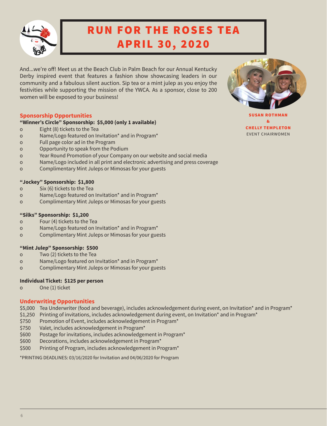

# RUN FOR THE ROSES TEA APRIL 30, 2020

And...we're off! Meet us at the Beach Club in Palm Beach for our Annual Kentucky Derby inspired event that features a fashion show showcasing leaders in our community and a fabulous silent auction. Sip tea or a mint julep as you enjoy the festivities while supporting the mission of the YWCA. As a sponsor, close to 200 women will be exposed to your business!

#### **Sponsorship Opportunities**

#### **"Winner's Circle" Sponsorship: \$5,000 (only 1 available)**

- o Eight (8) tickets to the Tea
- o Name/Logo featured on Invitation\* and in Program\*
- o Full page color ad in the Program
- o Opportunity to speak from the Podium
- o Year Round Promotion of your Company on our website and social media
- o Name/Logo included in all print and electronic advertising and press coverage
- o Complimentary Mint Juleps or Mimosas for your guests

#### **"Jockey" Sponsorship: \$1,800**

- o Six (6) tickets to the Tea
- o Name/Logo featured on Invitation\* and in Program\*
- o Complimentary Mint Juleps or Mimosas for your guests

#### **"Silks" Sponsorship: \$1,200**

- o Four (4) tickets to the Tea
- o Name/Logo featured on Invitation\* and in Program\*
- o Complimentary Mint Juleps or Mimosas for your guests

#### **"Mint Julep" Sponsorship: \$500**

- o Two (2) tickets to the Tea
- o Name/Logo featured on Invitation\* and in Program\*
- o Complimentary Mint Juleps or Mimosas for your guests

#### **Individual Ticket: \$125 per person**

o One (1) ticket

#### **Underwriting Opportunities**

- \$5,000 Tea Underwriter (food and beverage), includes acknowledgement during event, on Invitation\* and in Program\*
- \$1,250 Printing of invitations, includes acknowledgement during event, on Invitation\* and in Program\*
- \$750 Promotion of Event, includes acknowledgement in Program\*
- \$750 Valet, includes acknowledgement in Program\*
- \$600 Postage for invitations, includes acknowledgement in Program\*
- \$600 Decorations, includes acknowledgement in Program\*
- \$500 Printing of Program, includes acknowledgement in Program\*

\*PRINTING DEADLINES: 03/16/2020 for Invitation and 04/06/2020 for Program

SUSAN ROTHMAN & CHELLY TEMPLETON EVENT CHAIRWOMEN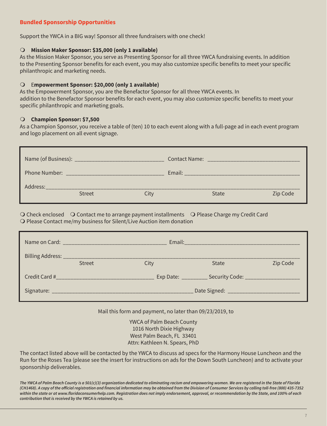#### **Bundled Sponsorship Opportunities**

Support the YWCA in a BIG way! Sponsor all three fundraisers with one check!

#### O Mission Maker Sponsor: \$35,000 (only 1 available)

As the Mission Maker Sponsor, you serve as Presenting Sponsor for all three YWCA fundraising events. In addition to the Presenting Sponsor benefits for each event, you may also customize specific benefits to meet your specific philanthropic and marketing needs.

#### m E**mpowerment Sponsor: \$20,000 (only 1 available)**

As the Empowerment Sponsor, you are the Benefactor Sponsor for all three YWCA events. In addition to the Benefactor Sponsor benefits for each event, you may also customize specific benefits to meet your specific philanthropic and marketing goals.

#### **Champion Sponsor: \$7,500**

As a Champion Sponsor, you receive a table of (ten) 10 to each event along with a full-page ad in each event program and logo placement on all event signage.

| Name (of Business): _____ |        |        | <b>Contact Name:</b> |       |          |
|---------------------------|--------|--------|----------------------|-------|----------|
| Phone Number:             |        | Email: |                      |       |          |
| Address:                  | Street | Citv   |                      | State | Zip Code |

 $\bigcirc$  Check enclosed  $\bigcirc$  Contact me to arrange payment installments  $\bigcirc$  Please Charge my Credit Card O Please Contact me/my business for Silent/Live Auction item donation

|        |      | Email: 2008 2010 2010 2021 2022 2023 2024 2022 2022 2023 2024 2022 2023 2024 2022 2023 2024 2022 2023 2024 20 |          |
|--------|------|---------------------------------------------------------------------------------------------------------------|----------|
| Street | City | State                                                                                                         | Zip Code |
|        |      | Exp Date: ___________ Security Code: __________________                                                       |          |
|        |      | Date Signed: _______________________                                                                          |          |

Mail this form and payment, no later than 09/23/2019, to

YWCA of Palm Beach County 1016 North Dixie Highway West Palm Beach, FL 33401 Attn: Kathleen N. Spears, PhD

The contact listed above will be contacted by the YWCA to discuss ad specs for the Harmony House Luncheon and the Run for the Roses Tea (please see the insert for instructions on ads for the Down South Luncheon) and to activate your sponsorship deliverables.

*The YWCA of Palm Beach County is a 501(c)(3) organization dedicated to eliminating racism and empowering women. We are registered in the State of Florida*  **(CH1468). A copy of the official registration and financial information may be obtained from the Division of Consumer Services by calling toll-free (800) 435-7352 within the state or at www.floridaconsumerhelp.com. Registration does not imply endorsement, approval, or recommendation by the State, and 100% of each contribution that is received by the YWCA is retained by us.**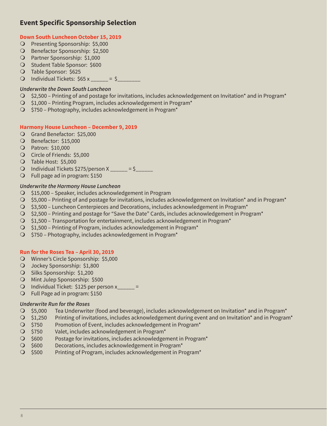## **Event Specific Sponsorship Selection**

#### **Down South Luncheon October 15, 2019**

- O Presenting Sponsorship: \$5,000
- O Benefactor Sponsorship: \$2,500
- O Partner Sponsorship: \$1,000
- **O** Student Table Sponsor: \$600
- O Table Sponsor: \$625
- O Individual Tickets:  $$65 x = $$

#### **Underwrite the Down South Luncheon**

- $\bigcirc$  \$2,500 Printing of and postage for invitations, includes acknowledgement on Invitation\* and in Program\*
- $\bigcirc$  \$1,000 Printing Program, includes acknowledgement in Program\*
- $\bigcirc$  \$750 Photography, includes acknowledgement in Program\*

#### **Harmony House Luncheon – December 9, 2019**

- O Grand Benefactor: \$25,000
- O Benefactor: \$15,000
- **O** Patron: \$10,000
- O Circle of Friends: \$5,000
- O Table Host: \$5,000
- O Individual Tickets  $$275/person X _$  = \$
- O Full page ad in program: \$150

#### **Underwrite the Harmony House Luncheon**

- O \$15,000 Speaker, includes acknowledgement in Program
- $\bigcirc$  \$5,000 Printing of and postage for invitations, includes acknowledgement on Invitation\* and in Program\*
- $\bigcirc$  \$3,500 Luncheon Centerpieces and Decorations, includes acknowledgement in Program\*
- m \$2,500 Printing and postage for "Save the Date" Cards, includes acknowledgement in Program\*
- $\bigcirc$  \$1,500 Transportation for entertainment, includes acknowledgement in Program\*
- $\bigcirc$  \$1,500 Printing of Program, includes acknowledgement in Program\*
- $\bigcirc$  \$750 Photography, includes acknowledgement in Program\*

#### **Run for the Roses Tea – April 30, 2019**

- O Winner's Circle Sponsorship: \$5,000
- O Jockey Sponsorship: \$1,800
- O Silks Sponsorship: \$1,200
- O Mint Julep Sponsorship: \$500
- O Individual Ticket:  $$125$  per person x =
- $\bigcirc$  Full Page ad in program: \$150

#### **Underwrite Run for the Roses**

- $\bigcirc$  \$5,000 Tea Underwriter (food and beverage), includes acknowledgement on Invitation\* and in Program\*
- O \$1,250 Printing of invitations, includes acknowledgement during event and on Invitation\* and in Program\*
- O \$750 Promotion of Event, includes acknowledgement in Program\*
- O \$750 Valet, includes acknowledgement in Program\*
- O \$600 Postage for invitations, includes acknowledgement in Program\*
- $\bigcirc$  \$600 Decorations, includes acknowledgement in Program\*
- O \$500 Printing of Program, includes acknowledgement in Program\*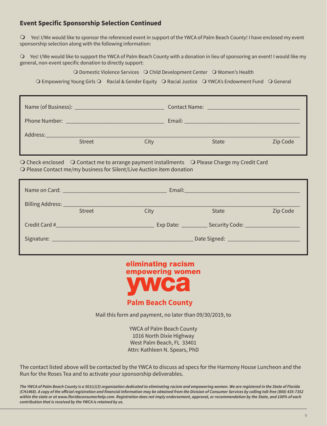### **Event Specific Sponsorship Selection Continued**

m Yes! I/We would like to sponsor the referenced event in support of the YWCA of Palm Beach County! I have enclosed my event sponsorship selection along with the following information:

m Yes! I/We would like to support the YWCA of Palm Beach County with a donation in lieu of sponsoring an event! I would like my general, non-event specific donation to directly support:

O Domestic Violence Services Q Child Development Center Q Women's Health

O Empowering Young Girls O Racial & Gender Equity O Racial Justice O YWCA's Endowment Fund O General

| Name (of Business): _ |               |      | <b>Contact Name:</b> |          |  |
|-----------------------|---------------|------|----------------------|----------|--|
| Phone Number:         |               |      | Email:               |          |  |
| Address:              | <b>Street</b> | lity | State                | Zip Code |  |
|                       |               |      |                      |          |  |

O Check enclosed  $\bigcirc$  Contact me to arrange payment installments  $\bigcirc$  Please Charge my Credit Card O Please Contact me/my business for Silent/Live Auction item donation

|               | Email: 2008 2010 2010 2021 2022 2023 2024 2022 2023 2024 2022 2023 2024 2022 2023 2024 2022 2023 2024 2025 20 |      |                                                     |          |  |
|---------------|---------------------------------------------------------------------------------------------------------------|------|-----------------------------------------------------|----------|--|
|               | Street                                                                                                        | City | <b>State</b>                                        | Zip Code |  |
| Credit Card # |                                                                                                               |      | Exp Date: __________ Security Code: _______________ |          |  |
|               |                                                                                                               |      | Date Signed: ________________________               |          |  |



Mail this form and payment, no later than 09/30/2019, to

YWCA of Palm Beach County 1016 North Dixie Highway West Palm Beach, FL 33401 Attn: Kathleen N. Spears, PhD

The contact listed above will be contacted by the YWCA to discuss ad specs for the Harmony House Luncheon and the Run for the Roses Tea and to activate your sponsorship deliverables.

*The YWCA of Palm Beach County is a 501(c)(3) organization dedicated to eliminating racism and empowering women. We are registered in the State of Florida*  **(CH1468). A copy of the official registration and financial information may be obtained from the Division of Consumer Services by calling toll-free (800) 435-7352 within the state or at www.floridaconsumerhelp.com. Registration does not imply endorsement, approval, or recommendation by the State, and 100% of each contribution that is received by the YWCA is retained by us.**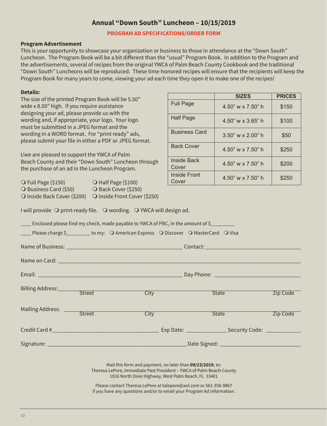## **Annual "Down South" Luncheon – 10/15/2019**

#### **PROGRAM AD SPECIFICATIONS/ORDER FORM**

#### **Program Advertisement**

This is your opportunity to showcase your organization or business to those in attendance at the "Down South" Luncheon. The Program Book will be a bit different than the "usual" Program Book. In addition to the Program and the advertisements, several of recipes from the original YWCA of Palm Beach County Cookbook and the traditional "Down South" Luncheons will be reproduced. These time-honored recipes will ensure that the recipients will keep the Program Book for many years to come, viewing your ad each time they open it to make one of the recipes!

#### **Details:**

The size of the printed Program Book will be 5.50" wide x 8.50" high. If you require assistance designing your ad, please provide us with the wording and, if appropriate, your logo. Your logo must be submitted in a JPEG format and the wording in a WORD format. For "print ready" ads, please submit your file in either a PDF or JPEG format.

I/we are pleased to support the YWCA of Palm Beach County and their "Down South" Luncheon through the purchase of an ad in the Luncheon Program.

| O Full Page (\$150)             | O Half Page (\$100)          |
|---------------------------------|------------------------------|
| $\bigcirc$ Business Card (\$50) | O Back Cover (\$250)         |
| O Inside Back Cover (\$200)     | O Inside Front Cover (\$250) |

|                              | <b>SIZES</b>             | <b>PRICES</b> |  |
|------------------------------|--------------------------|---------------|--|
| <b>Full Page</b>             | 4.50" w x 7.50" h        | \$150         |  |
| <b>Half Page</b>             | 4.50" w $\times$ 3.65" h | \$100         |  |
| <b>Business Card</b>         | $3.50"$ w x 2.00" h      | \$50          |  |
| <b>Back Cover</b>            | 4.50" w $\times$ 7.50" h | \$250         |  |
| <b>Inside Back</b><br>Cover  | 4.50" w $\times$ 7.50" h | \$200         |  |
| <b>Inside Front</b><br>Cover | 4.50" w x 7.50" h        | \$250         |  |

I will provide  $\bigcirc$  print-ready file.  $\bigcirc$  wording.  $\bigcirc$  YWCA will design ad.

|                                                                                                                                                                                                                                                                                                                                         |  |      | ____ Enclosed please find my check, made payable to YWCA of PBC, in the amount of \$_________ |                       |          |  |
|-----------------------------------------------------------------------------------------------------------------------------------------------------------------------------------------------------------------------------------------------------------------------------------------------------------------------------------------|--|------|-----------------------------------------------------------------------------------------------|-----------------------|----------|--|
|                                                                                                                                                                                                                                                                                                                                         |  |      | ____ Please charge \$_________ to my: ○ American Express ○ Discover ○ MasterCard ○ Visa       |                       |          |  |
|                                                                                                                                                                                                                                                                                                                                         |  |      |                                                                                               |                       |          |  |
|                                                                                                                                                                                                                                                                                                                                         |  |      |                                                                                               |                       |          |  |
|                                                                                                                                                                                                                                                                                                                                         |  |      |                                                                                               |                       |          |  |
|                                                                                                                                                                                                                                                                                                                                         |  | City |                                                                                               | State <b>State</b>    | Zip Code |  |
|                                                                                                                                                                                                                                                                                                                                         |  | City |                                                                                               | State <sup>----</sup> | Zip Code |  |
|                                                                                                                                                                                                                                                                                                                                         |  |      |                                                                                               |                       |          |  |
|                                                                                                                                                                                                                                                                                                                                         |  |      |                                                                                               |                       |          |  |
| Mail this form and payment, no later than 09/23/2019, to:<br>Theresa LePore, Immediate Past President - YWCA of Palm Beach County<br>1016 North Dixie Highway, West Palm Beach, FL 33401<br>Please contact Theresa LePore at talepore@aol.com or 561-358-9867<br>if you have any questions and/or to email your Program Ad information. |  |      |                                                                                               |                       |          |  |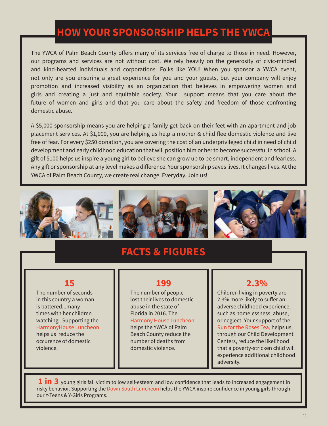# **HOW YOUR SPONSORSHIP HELPS THE YWCA**

The YWCA of Palm Beach County offers many of its services free of charge to those in need. However, our programs and services are not without cost. We rely heavily on the generosity of civic-minded and kind-hearted individuals and corporations. Folks like YOU! When you sponsor a YWCA event, not only are you ensuring a great experience for you and your guests, but your company will enjoy promotion and increased visibility as an organization that believes in empowering women and girls and creating a just and equitable society. Your support means that you care about the future of women and girls and that you care about the safety and freedom of those confronting domestic abuse.

A \$5,000 sponsorship means you are helping a family get back on their feet with an apartment and job placement services. At \$1,000, you are helping us help a mother & child flee domestic violence and live free of fear. For every \$250 donation, you are covering the cost of an underprivileged child in need of child development and early childhood education that will position him or her to become successful in school. A gift of \$100 helps us inspire a young girl to believe she can grow up to be smart, independent and fearless. Any gift or sponsorship at any level makes a difference. Your sponsorship saves lives. It changes lives. At the YWCA of Palm Beach County, we create real change. Everyday. Join us!



# **FACTS & FIGURES**

## **15**

The number of seconds in this country a woman is battered...many times with her children watching. Supporting the HarmonyHouse Luncheon helps us reduce the occurence of domestic violence.

# **199**

The number of people lost their lives to domestic abuse in the state of Florida in 2016. The Harmony House Luncheon helps the YWCA of Palm Beach County reduce the number of deaths from domestic violence.

# **2.3%**

Children living in poverty are 2.3% more likely to suffer an adverse childhood experience, such as homelessness, abuse, or neglect. Your support of the Run for the Roses Tea, helps us, through our Child Development Centers, reduce the likelihood that a poverty-stricken child will experience additional childhood adversity.

**1 in 3** young girls fall victim to low self-esteem and low confidence that leads to increased engagement in risky behavior. Supporting the Down South Luncheon helps the YWCA inspire confidence in young girls through our Y-Teens & Y-Girls Programs.